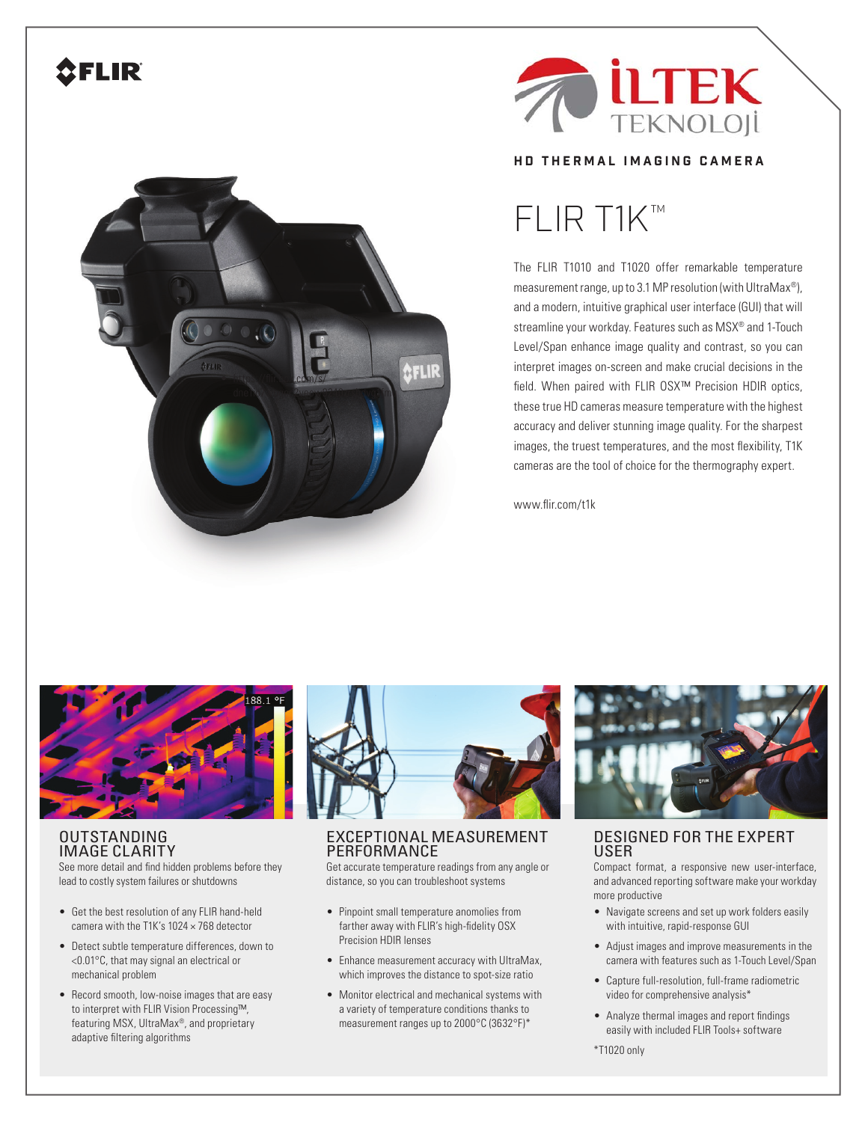## **CFLIR**





#### **HD THERMAL IMAGING CAMERA**

# FLIR T1K™

The FLIR T1010 and T1020 offer remarkable temperature measurement range, up to 3.1 MP resolution (with UltraMax®), and a modern, intuitive graphical user interface (GUI) that will streamline your workday. Features such as MSX® and 1-Touch Level/Span enhance image quality and contrast, so you can interpret images on-screen and make crucial decisions in the field. When paired with FLIR OSX™ Precision HDIR optics, these true HD cameras measure temperature with the highest accuracy and deliver stunning image quality. For the sharpest images, the truest temperatures, and the most flexibility, T1K cameras are the tool of choice for the thermography expert.

www.flir.com/t1k



#### OUTSTANDING IMAGE CLARITY

See more detail and find hidden problems before they lead to costly system failures or shutdowns

- Get the best resolution of any FLIR hand-held camera with the T1K's 1024 × 768 detector
- Detect subtle temperature differences, down to <0.01°C, that may signal an electrical or mechanical problem
- Record smooth, low-noise images that are easy to interpret with FLIR Vision Processing™, featuring MSX, UltraMax®, and proprietary adaptive filtering algorithms

![](_page_0_Picture_13.jpeg)

#### EXCEPTIONAL MEASUREMENT **PERFORMANCE**

Get accurate temperature readings from any angle or distance, so you can troubleshoot systems

- Pinpoint small temperature anomolies from farther away with FLIR's high-fidelity OSX Precision HDIR lenses
- Enhance measurement accuracy with UltraMax, which improves the distance to spot-size ratio
- Monitor electrical and mechanical systems with a variety of temperature conditions thanks to measurement ranges up to 2000°C (3632°F)\*

![](_page_0_Picture_19.jpeg)

### DESIGNED FOR THE EXPERT USER

Compact format, a responsive new user-interface, and advanced reporting software make your workday more productive

- Navigate screens and set up work folders easily with intuitive, rapid-response GUI
- Adjust images and improve measurements in the camera with features such as 1-Touch Level/Span
- Capture full-resolution, full-frame radiometric video for comprehensive analysis\*
- Analyze thermal images and report findings easily with included FLIR Tools+ software
- \*T1020 only